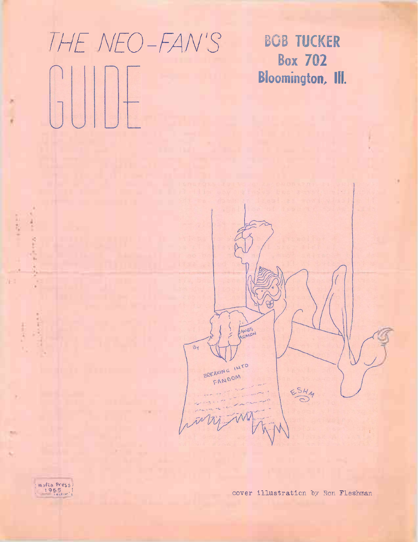## *THE NEO-FAN'S* BOB TUCKER

Box 702 Bloomington, Ill.





**Common Street,** 

**Suitener** 

主流はい

٠

m

加权。

E

cover illustration by Ron Fleshman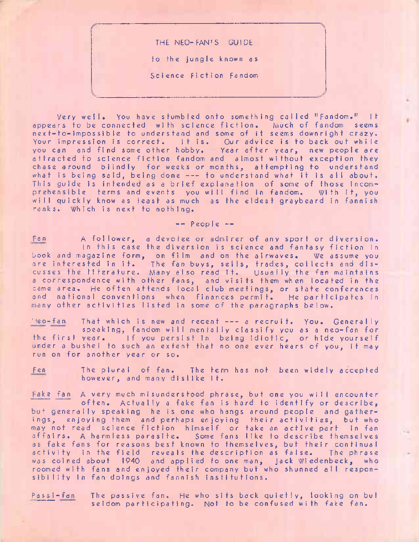THE NEO-FAN'<sup>S</sup> GUIDE to the jungle known as Science Fiction Fandom

Very well. You have stumbled onto something called ''Fandom." It appears to be connected with science fiction. Much of fandom seems next-to-impossibIe to understand and some of it seems downright crazy. Your impression is correct. It is. Our advice is to back out while you can and find some other hobby. Year after year, new people are attracted to science fiction fandom and almost without exception they chase around blindly for weeks or months, attempting to understand what is being said, being done --- to understand what it is all about. This guide is intended as <sup>a</sup> brief explanation of some of those incomprehensible terms and events you will find in fandom. With it, you will quickly know as least as much as the eldest graybeard in fannish ranks. Which is next to nothing.

 $--$  Peop  $e$   $--$ 

Fan <sup>A</sup> follower, <sup>a</sup> devotee or admirer of any sport or diversion. In this case the diversion is science and fantasy fiction in book and magazine form, on fi Im and on the airwaves. We assume you are interested in it. The fan buys, sells, trades, collects and disare interested in it. The tan-buys, sells, trades, corrects and dis-<br>cusses the liferature. Many also read it. Usually the fan maintains <sup>a</sup> correspondence with other fans, and visits them when located in the same area. He often attends local club meetings, or state conferences and national conventions when finances permit. He participates in many other activities listed in some of the paragraphs below.

Neo-fan That which is new and recent --- a recruit. You. Generally speaking, fandom will mentally classify you as <sup>a</sup> neo-fan for the first year. If you persist in being idiotic, or hide yourself under <sup>a</sup> bushel to such an extent that no one ever hears of you, it may run on for another year or so.

Fen The plural of fan. The term has not been widely accepted however, and many dislike it.

Fake fan <sup>A</sup> very much misunderstood phrase, but one you will encounter often. Actually <sup>a</sup> fake fan is hard to identify or describe, but generally speaking he is one who hangs around people and gatherings, enjoying them and perhaps enjoying their activities, but who may not read science fiction himself or take an active part in fan affairs. <sup>A</sup> harmless parasite. Some fans like fo describe themselves as fake fans for reasons best known to themselves, but their continual activity in the field reveals the description as false. The phrase was coined about 1940 and applied to one man, Jack Wiedenbeck, who roomed with fans and enjoyed their company but who shunned all responsibility in fan doings and fannish institutions.

Passi-fan The passive fan. He who sits back quietly, looking on but seldom participating. Not to be confused with fake fan.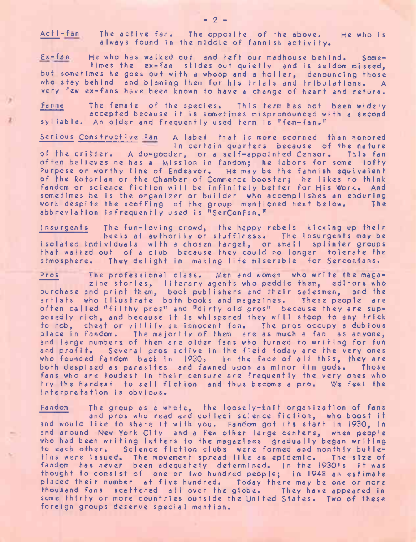Acti-fan The active fan. The opposite of the above. He who is always found in the middle of fannish activity.

Ex-fan He who has walked out and left our madhouse behind. Sometimes the ex-fan slides out quietly and is seldom missed, but sometimes he goes out with <sup>a</sup> whoop and <sup>a</sup> holler, denouncing those who stay behind and blaming them for his trials and tribulations. A very few ex-fans have been known to have a change of heart and return.

Fanne The female of the species. This term has not been widely accepted because it is sometimes mispronounced with <sup>a</sup> second syllable. An older and frequently used term is ''fem-fan.''

Serious Constructive Fan A label that is more scorned than honored in certain quarters because of the nature of the critter. <sup>A</sup> do-gooder, or <sup>a</sup> self-appointed Censor. This fan often believes he has <sup>a</sup> Mission in fandom; he labors for some lofty Purpose or worthy line of Endeavor. He may be the fannish equivalent of the Rotarian or the Chamber of Commerce booster; he likes to think fandom or science fiction will be infinitely better for His Work. And sometimes he is the organizer or builder who accomplishes an enduring work despite the scoffing of the group mentioned next below. abbreviation infrequently used is "SerConFan."

Insurgents The fun-loving crowd, the happy rebels kicking up their heels at authority or stuffiness. The insurgents may be isolated individuals with <sup>a</sup> chosen target, or small splinter groups that walked out of <sup>a</sup> club because they could no longer tolerate the atmosphere. They delight in making life miserable for Serconfans.

Pros The professional class. Men and women who write the magazine stories, literary agents who peddle them, editors who purchase and print them, book publishers and their salesmen, and the artists who Illustrate both books and magazines. These people are often called "filthy pros" and "dirty old pros" because they are supposedly rich, and because if is whispered they will stoop to any trick to rob, cheat or villify an innocent fan. The pros occupy <sup>a</sup> dubious place in fandom. The majority of them are as much <sup>a</sup> fan as anyone, and large numbers of them are older fans who turned to writing for fun and profit. Several pros active in the field today are the very ones who founded fandom back in 1930. In the face of all this, they are both despised as parasites and fawned upon as minor tin gods. Those fans who are loudest in their censure are frequently the very ones who try the hardest to sell fiction and thus become <sup>a</sup> pro. We feel the interpretation is obvious.

Fandom The group as <sup>a</sup> whole, the loosely-knit organization of fans and pros who read and collect science fiction, who boost it and would like to share it with you. Fandom got its start in 1930, in and around New York City and <sup>a</sup> few other large centers, when people who had been writing letters to the magazines gradually began writing to each other. Science fiction clubs were formed and monthly bulletins were issued. The movement spread like an epidemic. The size of fandom has never been adequately determined. |n the <sup>1930</sup>'<sup>s</sup> it was thought to consist of one or two hundred people; in 1948 an estimate placed their number at five hundred. Today there may be one or more thousand fans scattered all over the globe. They have appeared in some thirty or more countries outside the United States. Two of these foreign groups deserve special mention.

 $- 2 -$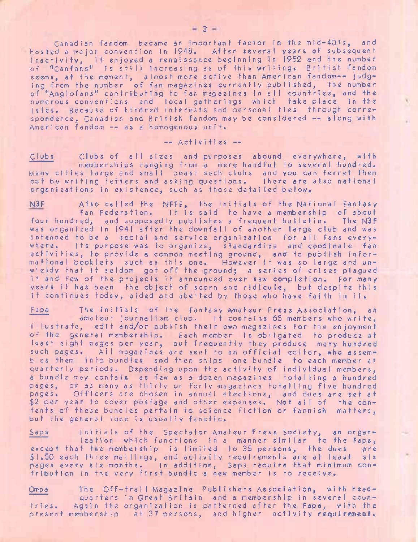Canadian fandom became an important factor in the mid-40's, and hosted <sup>a</sup> major convention in 1948. After several years of subsequent inactivity, it enjoyed <sup>a</sup> renaissance beginning in <sup>1952</sup> and the number of "Canfans" is still increasing as of this writing. British fandom seems, at the moment, almost more active than American fandom-- judging from the number of fan magazines currently published, the number of ''Anglofans" contributing to fan magazines in all countries, and the numerous conventions and local gatherings which take place in the Isles. Because of kindred interests and personal ties through correspondence, Canadian and British fandom may be considered -- along with American fandom -- as <sup>a</sup> homogenous unit.

## — Activities —

Clubs Clubs of all sizes and purposes abound everywhere, with memberships ranging from <sup>a</sup> mere handful to several hundred. Many cities large and small boast such clubs and you can ferret them out by writing letters and asking questions. There are also national organizations in existence, such as those detailed below.

N3F Also called the NFFF, the initials of the National Fantasy Fan Federation. It is said to have <sup>a</sup> membership of about four hundred, and supposedly publishes a frequent bulletin. The N3F was organized in <sup>1941</sup> after the downfall of another large club and was intended to be <sup>a</sup> social and service organization for all fans everywhere, Its purpose was to organize, standardize and coodinate fan activities, to provide <sup>a</sup> common meeting ground, and to publish informational booklets such as this one. However it was so large and unwieldy that it seldom got off the ground; <sup>a</sup> series of crises plagued it and few of the projects it announced ever saw completion. For many years it has been the object of scorn and ridicule, but despite this it continues today, aided and abetted by those who have faith in it.

Fap<sup>a</sup> The initials of the Fantasy Amateur Press Association, an amateur journalism club. It contains 65 members who write, illustrate, edit and/or publish their own magazines for the enjoyment of the general membership. Each member is obligated to produce at least eight pages per year, but frequently they produce many hundred such pages. All magazines are sent to an official editor, who assembles them info bundles and then ships one bundle to each member at quarterly periods. Depending upon the activity of individual members, <sup>a</sup> bundle may contain as few as <sup>a</sup> dozen magazines totalling <sup>a</sup> hundred pages, or as many as thirty or forty magazines totalling five hundred pages. Officers are chosen in annual elections, and dues are set at \$2 per year to cover postage and other expenses. Not all of the contents of these bundles pertrain to science fiction or fannish matters, but the general tone is usually fanatic.

Saps Initials of the Spectator Amateur Press Society, an organization which functions in <sup>a</sup> manner similar to the Fapa, except that the membership is limited to <sup>35</sup> persons, the dues are \$1.50 each three mailings, and activity requirements are at least six pages every six months. In addition, Saps require that minimum contribution in the very first bundle <sup>a</sup> new member is to receive.

Ompa The Off-trail Magazine Publishers Association, with headquarters in Great Britain and <sup>a</sup> membership in several countries. Again the organization is patterned after the Fapa, with the present membership at 37 persons, and higher activity requirement.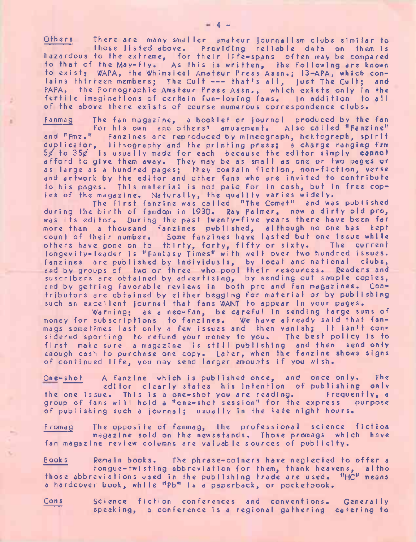Others There are many smaller amateur journalism clubs similar to those listed above. Providing reliable data on them is hazardous to the extreme, for their life-spans often may be compared to that of the May-fly. As this is written, the following are known to exist; WAPA, the Whimsical Amateur Press Assn.; 13-APA, which con-tains thirteen members; The Cult ----- that'<sup>s</sup> all, just The Cult; and PAPA, the Pornographic Amateur Press Assn., which exists only in the fertile imaginations of certtain fun-loving fans. In addition to all of the above there exists of course numerous correspondence clubs.

Fa nma <sup>g</sup> The fan magazine, <sup>a</sup> booklet or journal produced by the fan for his own and others' amusement. Also called "Fanzine" and "Fmz." Fanzines are reproduced by mimeograph, hektograph, spirit duplicator, lithography and the printing press; <sup>a</sup> charge ranging frm 5/ to 35/ is usually made for each because the editor simply **cannot** afford to give them away. They may be as small as one or two pages or as large as <sup>a</sup> hundred pages; they contain fiction, non-fiction, verse and artwork by the editor and other fans who are invited to contribute to his pages. This material is not paid for in cash, but in free copies of the magazine. Naturally, the quality varies widely.

The first fanzine was called "The Comet" and was published during the birth of fandom in 1930. Ray Palmer, now <sup>a</sup> dirty old pro, was its editor. During the past twenty-five years there have been far more than <sup>a</sup> thousand fanzines published, although no one has kept count of their number. Some fanzines have lasted but one issue while others have gone on to thirty, forty, fifty or sixty. The current Iongevity-leader is "Fantasy Times" with well over two hundred issues. Fanzines are published by individuals, by local and national clubs, and by groups of two or three who pool their resources. Readers and suscribers are obtained by advertising, by sending out sample copies, and by getting favorable reviews in both pro and fan magazines. Contributors are obtained by either begging for material or by publishing such an excellent journal that fans WANT to appear in your pages.

Warning; as <sup>a</sup> neo-fan, be careful in sending large sums of money for subscriptions to fanzines. We have already said that fan-mags sometimes last only <sup>a</sup> few issues and then vanish; it isn'<sup>t</sup> considered sporting to refund your money to you. The best policy is to first make sure <sup>a</sup> magazine is still publishing and then send only enough cash to purchase one copy. Later, when the fanzine shows signs of continued life, you may send larger amounts if you wish.

One-shot A fanzine which is published once, and once only. The editor clearly states his intention of publishing only<br>e. This is a one-shot you are reading. Frequently, a the one issue. This is a one-shot you are reading. Frequently, a<br>group of fans will hold a "one-shot session" for the express purpose group of fans will hold a "one-shot session" for the express of publishing such <sup>a</sup> journal; usually in the late night hours.

Promag The opposite of fanmag, the professional science fiction magazine sold on the newsstands. Those promags which have fan magazine review columns are valuable sources of publicity.

Books s Remain books. The phrase-coiners have neglected to offer a tongue-twisting abbreviation for them, thank heavens, <sup>a</sup> Itho those abbreviations used in the publishing trade are used. "HC" means <sup>a</sup> hardcover book, while "pb" is <sup>a</sup> paperback, or pocketbook.

Cons science fiction conferences and conventions. Generally speaking, <sup>a</sup> conference is <sup>a</sup> regional gathering catering to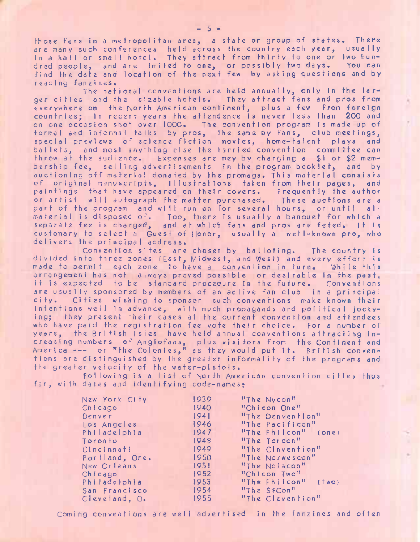those fans in <sup>a</sup> metropolitan area, <sup>a</sup> state or group of states. There are many such conferences held across the country each year, usually in a hall or small hotel. They attract from thirty to one or two hundred people, and are limited to one, or possibly two days. You can find the date and location of the next few by asking questions and by reading fanzines.

The national conventions are held annually, only in the larger cities and the sizable hotels. They attract fans and pros from everywhere on the North American continent, plus <sup>a</sup> few from foreign countries; in recent years the attendence is never less than 200 and on one occasion shot over 1000. The convention program is made up of formal and informal talks by pros, the same by fans, club meetings, special previews of science fiction movies, home-talent plays and ballets, and most anything else the harried convention committee can throw at the audience. Expenses are mey by charging <sup>a</sup> \$1 or \$2 membership fee, selling advertisements in the program booklet, and by auctioning off material donated by the promags. This material consists of original manuscripts, illustrations taken from their pages, and paintings that have appeared on their covers. Frequently the author or artist will autograph the matter purchased. These auctions are <sup>a</sup> part of the program and will run on for several hours, or until all material is disposed of. Too, there is usually <sup>a</sup> banquet for which <sup>a</sup> separate fee is charged, and at which fans and pros are feted, |t is customary to select <sup>a</sup> Guest of Honor, usually <sup>a</sup> well-known pro, who delivers the principal address.

Convention sites are chosen by balloting. The country is divided info three zones (East, Midwest, and West) and every effort is made to permit each zone to have <sup>a</sup> convention in turn. While this arrangement has not always proved possible or desirable in the past, it is expected to be standard procedure in the future. Conventions are usually sponsored by members of an active fan club in <sup>a</sup> principal Cities wishing to sponsor such conventions make known their intentions well in advance, with much propagands and political jockying; they present their cases at the current convention and attendees who have paid the registration fee vote their choice. For <sup>a</sup> number of years, the British Isles have held annual conventions attracting increasing numbers of Anglofans, plus visitors from the Continent and America----- or ''the Colonies," as they would put it. British conventions are distinguished by the greater informality of the programs and the greater velocity of the water-pistols.

Following is <sup>a</sup> list of North American convention cities thus far, with dates and identifying code-names;

| New York City  | 1939 | "The Nycon"                  |
|----------------|------|------------------------------|
| Chicago        | 1940 | "Chicon One"                 |
| Denver         | 1941 | "The Denvention"             |
| Los Angeles    | 1946 | "The Pacificon"              |
| Philadelphia   | 1947 | "The Philcon" (one)          |
| Toronto        | 1948 | "The Torcon"                 |
| CIncinnati     | 1949 | "The Cinvention"             |
| Portland, Ore. | 1950 | "The Norwescon"              |
| New Orleans    | 195! | "The Nolacon"                |
| Chicago        | 1952 | "Chicon Two"                 |
| PhiladeIphia   | 1953 | "The Philcon"<br>$($ two $)$ |
| San Francisco  | 1954 | "The SFCon"                  |
| Cleveland, O.  | 1955 | "The Clevention"             |

Coming conventions are well advertised in the fanzines and often

 $-5 -$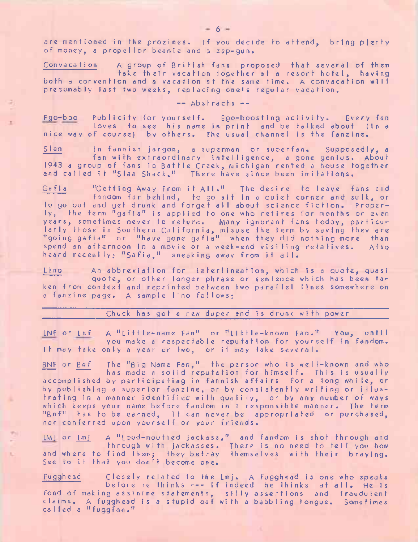are mentioned in the prozines. If you decide to attend, bring plenty of money, <sup>a</sup> propel lor beanie and <sup>a</sup> zap-gun.

Convacation <sup>A</sup> group of British fans proposed that several of them take their vacation together at <sup>a</sup> resort hotel, having both <sup>a</sup> convention and <sup>a</sup> vacation at the same time. <sup>A</sup> convacation will presumably last two weeks, replacing one'<sup>s</sup> regular vacation.

— Abstracts - -

ä,

Ego-boo Publicity for yourself. Ego-boosting activity. Every fan loves to see his name in print and be talked about (In <sup>a</sup> nice way of course) by others. The usual channel is the fanzine.

Sian In fannish jargon, <sup>a</sup> superman or superfan. Supposedly, <sup>a</sup> fan with extraordinary intelligence, <sup>a</sup> gone genius. About <sup>1943</sup> <sup>a</sup> group of fans in Battle Creek, Michigan rented <sup>a</sup> house together and called it "Sian Shack." There have since been imitations.

Ga f <sup>i</sup> <sup>a</sup> "Getting Away From it All." The desire to leave fans and fandom far behind, to go sit in <sup>a</sup> quiet corner and sulk, or to go out and get drunk and forget all about science fiction. Properly, the term "gafia" is applied to one who retires for months or even years, sometimes never to return. Many ignorant fans today, particularly those in Southern California, misuse the term by saying they are "going gafia" or "have gone gafia" when they did nothing more than spend an afternoon in <sup>a</sup> movie or <sup>a</sup> week-end visiting relatives. Also heard recently; "Safia," sneaking away from it all.

Lino An abbreviation for interlineation, which is <sup>a</sup> quote, quasi quote, or other longer phrase or sentence which has been taken from context and reprinted between two parallel lines somewhere on <sup>a</sup> fanzine page. <sup>A</sup> sample lino follows;

Chuck has got <sup>a</sup> new duper and is drunk with power

LNF or Lnf = A "Little-name Fan" or "Little-known Fan." You, until you make <sup>a</sup> respectable reputation for yourself in fandom. It may take only <sup>a</sup> year or two, or it may take several.

BNF or Bnf The "Big Name Fan," the person who is well-known and who has made <sup>a</sup> solid reputation for himself. This is usually accomplished by participating in fannish affairs for <sup>a</sup> long while, or by publishing <sup>a</sup> superior fanzine, or by consistently writing or illustrating in <sup>a</sup> manner identified with quality, or by any number of ways which keeps your name before fandom in <sup>a</sup> responsible manner. The term "Bnf" has to be earned, it can never be appropriated or purchased, nor conferred upon yourself or your friends.

LMJ or Lmj <sup>A</sup> "Loud-mouthed jackass," and fandom is shot through and through with jackasses. There is no need to tell you how and where to find them; they betray themselves with their braying. See to it that you don'<sup>t</sup> become one.

Fugghead Closely related to the Lmj. A fugghead is one who speaks before he thinks --- if indeed he thinks at all. He is fond of making assinine statements, silly assertions and fraudulent claims. <sup>A</sup> fugghead is <sup>a</sup> stupid oaf with <sup>a</sup> babbling tongue. Sometimes called <sup>a</sup> "fuggfan."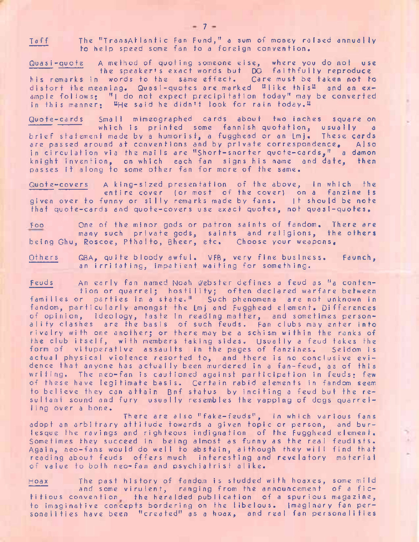Taff The "TransAtlantic Fan Fund," <sup>a</sup> sum of money raised annually to help speed some fan to <sup>a</sup> foreign convention.

Quasi-quote <sup>A</sup> method of quoting someone else, where you do not use the speaker'<sup>s</sup> exact words but DO faithfully reproduce The speaker's exact words but DO faithfully reproduce<br>his remarks in words to the same effect. Care must be taken not to distort the meaning. Quasi-quotes are marked "Ilike this" and an example follows; "I do not expect precipitation today" may be converted in this manner: "He said he didn't look for rain today.<sup>11</sup>

Quote-cards Small mimeographed cards about two inches square on which is printed some fannish quotation, usually <sup>a</sup> brief statement made by a humorist, a fugghead or an  $\lfloor m \rfloor$ . These cards are passed around at conventions and by private correspondence, Also in circulation via the mai Is are "Short-snorter quote-cards," <sup>a</sup> damon knight invention, on which each fan signs his name and date, then passes it along to some other fan for more of the same.

Quote-covers <sup>A</sup> king-sized presentation of the above, in which the entire cover (or most of the cover) on <sup>a</sup> fanzine is given over to funny or silly remarks made by fans. It should be note that quote-cards and quote-covers use exact quotes, not quasi-quotes.

Foo One of the minor gods or patron saints of fandom. There are many such private gods, saints and religions, the others being Ghu, Roscoe, Pthalto, Bheer, etc. Choose your weapons,

Others QBA, quite bloody awful. VFB, very fine business. Faunch, an irritating, impatient waiting for something.

Feuds An early fan named Noah Webster defines <sup>a</sup> feud as "a contention or quarrel; hostility; often declared warfare between families or parties in <sup>a</sup> states" Such phenomena are not unknown in fandom, particularly amongst the Lmj and Fugghead element. Differences of opinion, ideology, taste in reading matter, and sometimes personality clashes are the basis of such feuds. Fan clubs may enter into rivalry with one another; or there may be <sup>a</sup> schism within the ranks of the club itself, with members taking sides. Usually <sup>a</sup> feud takes the form of vituperative assaults in the pages of fanzines. Seldom is actual physical violence resorted to, and there is no conclusive evidence that anyone has actually been murdered in <sup>a</sup> fan-feud, as of this writing. The neo-fan is cautioned against participation in feuds; few of these have legitimate basis. Certain rabid elements in fandom seem to believe they can attain Bnf status by inciting <sup>a</sup> feud but the resultant sound and fury usually resembles the yapping of dogs quarrelling over <sup>a</sup> bone.

There are also "fake-feuds", in which various fans adopt an arbitrary attitude towards <sup>a</sup> given topic or person, and burlesque the ravings and righteous indignation of the Fugghead element. Sometimes they succeed in being almost as funny as the real feudists. Again, neo-fans would do well to abstain, although they will find that reading about feuds offers much interesting and revelatory material of value to both neo-fan and psychiatrist alike.

Hoax The past history of fandom is studded with hoaxes, some mild and some virulent, ranging from the announcement of <sup>a</sup> fictitious convention the heralded publication of <sup>a</sup> spurious magazine, to imaginative concepts bordering on the libelous. Imaginary fan personalities have been "created" as <sup>a</sup> hoax, and real fan personalities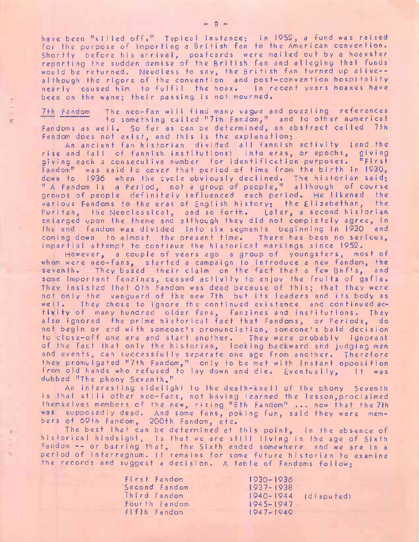have been "killed off." Typical instance; in 1952, <sup>a</sup> fund was raised for the purpose of importing <sup>a</sup> British fan to the American convention. Shortly before his arrival, postcards were mailed out by <sup>a</sup> hoaxster reporting the sudden demise of the British fan and alleging that funds would be returned. Needless to say, the British fan turned up alive- although the rigors of the convention and post-convention hospitality nearly caused him to fulfil the hoax. In recent years hoaxes have been on the wane; their passing is not mourned.

7th Fandom The neo-fan will find many vague and puzzling references to something called "7th Fandom," and to other numerical Fandoms as well. So far as can be determined, an abstract called 7th Fandom does not exist, and this is the explanation;

An ancient fan historian divided all fannish activity (and the rise and fall of fannish institutions) into eras, or epochs, giving giving each <sup>a</sup> consecutive number for identification purposes. "First Fandom" was said to cover that period of time from the birth in 1930, down to <sup>1936</sup> when the cycle obviously declined. The historian said; " <sup>A</sup> Fandom is <sup>a</sup> Period, not <sup>a</sup> group of people," although of course groups of people definitely influenced each period. He likened the various Fandoms to the eras of English history; the Elizabethan, the Puritan, the Neoclassical, and so forth. Later, a second historian enlarged upon the theme and although they did not completely agree, in the end fandom was divided into six segments beginning in 1930 and coming down to almost the present time. There has been no serious, impartial attempt to continue the historical markings since 1952.

However, <sup>a</sup> couple of years ago <sup>a</sup> group of youngsters, most of whom were neo-fans, started <sup>a</sup> campaign to introduce <sup>a</sup> new fandom, the seventh. They based their claim on the fact that <sup>a</sup> few Bnf's, and some important fanzines, ceased activity to enjoy the fruits of gafia. They insisted that 6th Fandom was dead because of this; that they were not only the vanguard of the new 7th but its leaders and its body as well. They chose to ignore the continued existence and continued activity of many hundred older fans, fanzines and institutions. They also ignored the prime historical fact that Fandoms, or Periods, do not begin or end with someone's pronunciation, someone's bald decision to close-off one era and start another. They were probably ignorant of the fact that only the historian, looking backward and judging men and events, can successfully separate one age from another. Therefore they promulgated "7th Fandom," only to be met with instant opposition from old hands who refused to lay down and die. Eventually, it was dubbed "The phony Seventh."

An interesting sidelight to the death-knell of the phony Seventh is that still other neo-fans, not having learned the lesson, proclaimed them selves members of the new, rising "8th Fandom" ... now that the 7th was supposedly dead. And some fans, poking fun, said they were members of 69th Fandom, 200th Fandom, etc.

The best that can be determined at this point, in the absence of historical hindsight, is that we are still living in the age of Sixth Fandom -- or barring that, the Sixth ended somewhere and we are in <sup>a</sup> period of interregnum. |t remains for some future historian to examine the records and suggest <sup>a</sup> decision. <sup>A</sup> table of Fandoms follow;

> First Fandom Second Fandom Third Fandom Fourth Fandom Fifth Fandom 1930-1936 1937-1938 1940-1944 1945-1947 1947-1949 (di spu ted)